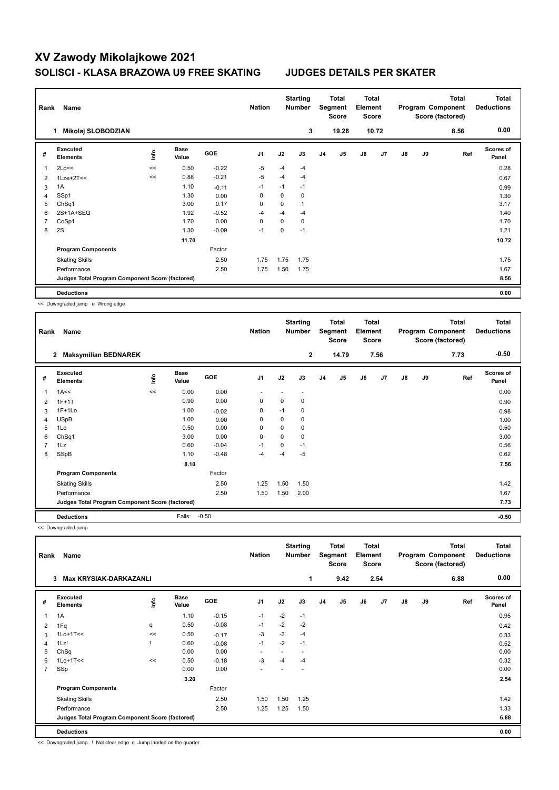## **XV Zawody Mikolajkowe 2021 SOLISCI - KLASA BRAZOWA U9 FREE SKATING JUDGES DETAILS PER SKATER**

| Rank           | Name                                            |      |                      |            | <b>Nation</b>  |      | <b>Starting</b><br><b>Number</b> |                | Total<br>Segment<br><b>Score</b> | <b>Total</b><br>Element<br><b>Score</b> |                |               |    | <b>Total</b><br>Program Component<br>Score (factored) | <b>Total</b><br><b>Deductions</b> |
|----------------|-------------------------------------------------|------|----------------------|------------|----------------|------|----------------------------------|----------------|----------------------------------|-----------------------------------------|----------------|---------------|----|-------------------------------------------------------|-----------------------------------|
|                | Mikolaj SLOBODZIAN<br>1                         |      |                      |            |                |      | 3                                |                | 19.28                            |                                         | 10.72          |               |    | 8.56                                                  | 0.00                              |
| #              | Executed<br><b>Elements</b>                     | lnfo | <b>Base</b><br>Value | <b>GOE</b> | J <sub>1</sub> | J2   | J3                               | J <sub>4</sub> | J <sub>5</sub>                   | J6                                      | J <sub>7</sub> | $\mathsf{J}8$ | J9 | Ref                                                   | <b>Scores of</b><br>Panel         |
| 1              | 2Lo<<                                           | <<   | 0.50                 | $-0.22$    | $-5$           | $-4$ | $-4$                             |                |                                  |                                         |                |               |    |                                                       | 0.28                              |
| 2              | $1$ Lze+ $2$ T<<                                | <<   | 0.88                 | $-0.21$    | $-5$           | -4   | $-4$                             |                |                                  |                                         |                |               |    |                                                       | 0.67                              |
| 3              | 1A                                              |      | 1.10                 | $-0.11$    | $-1$           | $-1$ | $-1$                             |                |                                  |                                         |                |               |    |                                                       | 0.99                              |
| $\overline{4}$ | SSp1                                            |      | 1.30                 | 0.00       | 0              | 0    | 0                                |                |                                  |                                         |                |               |    |                                                       | 1.30                              |
| 5              | ChSq1                                           |      | 3.00                 | 0.17       | 0              | 0    | $\mathbf{1}$                     |                |                                  |                                         |                |               |    |                                                       | 3.17                              |
| 6              | 2S+1A+SEQ                                       |      | 1.92                 | $-0.52$    | -4             | $-4$ | -4                               |                |                                  |                                         |                |               |    |                                                       | 1.40                              |
| 7              | CoSp1                                           |      | 1.70                 | 0.00       | 0              | 0    | 0                                |                |                                  |                                         |                |               |    |                                                       | 1.70                              |
| 8              | 2S                                              |      | 1.30                 | $-0.09$    | $-1$           | 0    | $-1$                             |                |                                  |                                         |                |               |    |                                                       | 1.21                              |
|                |                                                 |      | 11.70                |            |                |      |                                  |                |                                  |                                         |                |               |    |                                                       | 10.72                             |
|                | <b>Program Components</b>                       |      |                      | Factor     |                |      |                                  |                |                                  |                                         |                |               |    |                                                       |                                   |
|                | <b>Skating Skills</b>                           |      |                      | 2.50       | 1.75           | 1.75 | 1.75                             |                |                                  |                                         |                |               |    |                                                       | 1.75                              |
|                | Performance                                     |      |                      | 2.50       | 1.75           | 1.50 | 1.75                             |                |                                  |                                         |                |               |    |                                                       | 1.67                              |
|                | Judges Total Program Component Score (factored) |      |                      |            |                |      |                                  |                |                                  |                                         |                |               |    |                                                       | 8.56                              |
|                | <b>Deductions</b>                               |      |                      |            |                |      |                                  |                |                                  |                                         |                |               |    |                                                       | 0.00                              |

<< Downgraded jump e Wrong edge

| Rank           | Name                                            |      |                      |            | <b>Nation</b>  |      | <b>Starting</b><br>Number |                | <b>Total</b><br>Segment<br><b>Score</b> | <b>Total</b><br>Element<br><b>Score</b> |      |    |    | <b>Total</b><br>Program Component<br>Score (factored) | <b>Total</b><br><b>Deductions</b> |
|----------------|-------------------------------------------------|------|----------------------|------------|----------------|------|---------------------------|----------------|-----------------------------------------|-----------------------------------------|------|----|----|-------------------------------------------------------|-----------------------------------|
|                | $\mathbf{2}$<br><b>Maksymilian BEDNAREK</b>     |      |                      |            |                |      | $\mathbf{2}$              |                | 14.79                                   |                                         | 7.56 |    |    | 7.73                                                  | $-0.50$                           |
| #              | <b>Executed</b><br><b>Elements</b>              | ١nfo | <b>Base</b><br>Value | <b>GOE</b> | J <sub>1</sub> | J2   | J3                        | J <sub>4</sub> | J <sub>5</sub>                          | J6                                      | J7   | J8 | J9 | Ref                                                   | <b>Scores of</b><br>Panel         |
| 1              | 1A<<                                            | <<   | 0.00                 | 0.00       |                |      |                           |                |                                         |                                         |      |    |    |                                                       | 0.00                              |
| 2              | $1F+1T$                                         |      | 0.90                 | 0.00       | 0              | 0    | 0                         |                |                                         |                                         |      |    |    |                                                       | 0.90                              |
| 3              | $1F+1Lo$                                        |      | 1.00                 | $-0.02$    | 0              | $-1$ | 0                         |                |                                         |                                         |      |    |    |                                                       | 0.98                              |
| 4              | <b>USpB</b>                                     |      | 1.00                 | 0.00       | 0              | 0    | 0                         |                |                                         |                                         |      |    |    |                                                       | 1.00                              |
| 5              | 1Lo                                             |      | 0.50                 | 0.00       | 0              | 0    | 0                         |                |                                         |                                         |      |    |    |                                                       | 0.50                              |
| 6              | ChSq1                                           |      | 3.00                 | 0.00       | $\mathbf 0$    | 0    | 0                         |                |                                         |                                         |      |    |    |                                                       | 3.00                              |
| $\overline{7}$ | 1Lz                                             |      | 0.60                 | $-0.04$    | $-1$           | 0    | $-1$                      |                |                                         |                                         |      |    |    |                                                       | 0.56                              |
| 8              | SSpB                                            |      | 1.10                 | $-0.48$    | -4             | -4   | $-5$                      |                |                                         |                                         |      |    |    |                                                       | 0.62                              |
|                |                                                 |      | 8.10                 |            |                |      |                           |                |                                         |                                         |      |    |    |                                                       | 7.56                              |
|                | <b>Program Components</b>                       |      |                      | Factor     |                |      |                           |                |                                         |                                         |      |    |    |                                                       |                                   |
|                | <b>Skating Skills</b>                           |      |                      | 2.50       | 1.25           | 1.50 | 1.50                      |                |                                         |                                         |      |    |    |                                                       | 1.42                              |
|                | Performance                                     |      |                      | 2.50       | 1.50           | 1.50 | 2.00                      |                |                                         |                                         |      |    |    |                                                       | 1.67                              |
|                | Judges Total Program Component Score (factored) |      |                      |            |                |      |                           |                |                                         |                                         |      |    |    |                                                       | 7.73                              |
|                | <b>Deductions</b>                               |      | Falls:               | $-0.50$    |                |      |                           |                |                                         |                                         |      |    |    |                                                       | $-0.50$                           |

<< Downgraded jump

| Rank           | Name                                            |    |               |            | <b>Nation</b>            |      | <b>Starting</b><br><b>Number</b> |                | Total<br>Segment<br><b>Score</b> | <b>Total</b><br>Element<br><b>Score</b> |                |               |    | Total<br>Program Component<br>Score (factored) | <b>Total</b><br><b>Deductions</b> |
|----------------|-------------------------------------------------|----|---------------|------------|--------------------------|------|----------------------------------|----------------|----------------------------------|-----------------------------------------|----------------|---------------|----|------------------------------------------------|-----------------------------------|
|                | 3<br><b>Max KRYSIAK-DARKAZANLI</b>              |    |               |            |                          |      | 1                                |                | 9.42                             |                                         | 2.54           |               |    | 6.88                                           | 0.00                              |
| #              | Executed<br><b>Elements</b>                     | ۴ů | Base<br>Value | <b>GOE</b> | J <sub>1</sub>           | J2   | J3                               | J <sub>4</sub> | J5                               | J6                                      | J <sub>7</sub> | $\mathsf{J}8$ | J9 | Ref                                            | Scores of<br>Panel                |
| 1              | 1A                                              |    | 1.10          | $-0.15$    | $-1$                     | $-2$ | $-1$                             |                |                                  |                                         |                |               |    |                                                | 0.95                              |
| 2              | 1Fq                                             | q  | 0.50          | $-0.08$    | $-1$                     | $-2$ | $-2$                             |                |                                  |                                         |                |               |    |                                                | 0.42                              |
| 3              | $1$ Lo $+1$ T<<                                 | << | 0.50          | $-0.17$    | $-3$                     | $-3$ | $-4$                             |                |                                  |                                         |                |               |    |                                                | 0.33                              |
| 4              | 1Lz!                                            |    | 0.60          | $-0.08$    | $-1$                     | $-2$ | $-1$                             |                |                                  |                                         |                |               |    |                                                | 0.52                              |
| 5              | ChSq                                            |    | 0.00          | 0.00       | $\overline{\phantom{a}}$ |      | $\overline{\phantom{0}}$         |                |                                  |                                         |                |               |    |                                                | 0.00                              |
| 6              | $1Lo+1T<<$                                      | << | 0.50          | $-0.18$    | -3                       | -4   | -4                               |                |                                  |                                         |                |               |    |                                                | 0.32                              |
| $\overline{7}$ | SSp                                             |    | 0.00          | 0.00       |                          |      |                                  |                |                                  |                                         |                |               |    |                                                | 0.00                              |
|                |                                                 |    | 3.20          |            |                          |      |                                  |                |                                  |                                         |                |               |    |                                                | 2.54                              |
|                | <b>Program Components</b>                       |    |               | Factor     |                          |      |                                  |                |                                  |                                         |                |               |    |                                                |                                   |
|                | <b>Skating Skills</b>                           |    |               | 2.50       | 1.50                     | 1.50 | 1.25                             |                |                                  |                                         |                |               |    |                                                | 1.42                              |
|                | Performance                                     |    |               | 2.50       | 1.25                     | 1.25 | 1.50                             |                |                                  |                                         |                |               |    |                                                | 1.33                              |
|                | Judges Total Program Component Score (factored) |    |               |            |                          |      |                                  |                |                                  |                                         |                |               |    |                                                | 6.88                              |
|                | <b>Deductions</b>                               |    |               |            |                          |      |                                  |                |                                  |                                         |                |               |    |                                                | 0.00                              |

<< Downgraded jump ! Not clear edge q Jump landed on the quarter